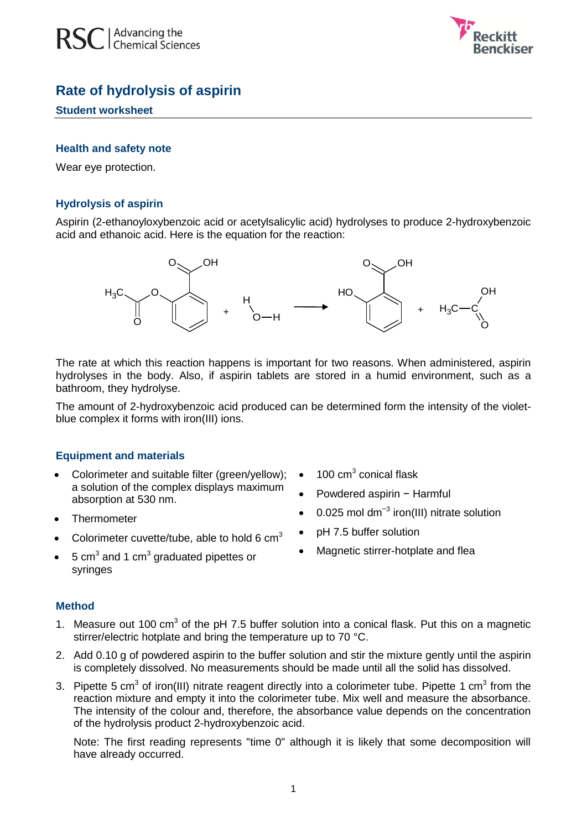



# **Rate of hydrolysis of aspirin**

#### **Student worksheet**

#### **Health and safety note**

Wear eye protection.

## **Hydrolysis of aspirin**

Aspirin (2-ethanoyloxybenzoic acid or acetylsalicylic acid) hydrolyses to produce 2-hydroxybenzoic acid and ethanoic acid. Here is the equation for the reaction:



The rate at which this reaction happens is important for two reasons. When administered, aspirin hydrolyses in the body. Also, if aspirin tablets are stored in a humid environment, such as a bathroom, they hydrolyse.

The amount of 2-hydroxybenzoic acid produced can be determined form the intensity of the violetblue complex it forms with iron(III) ions.

## **Equipment and materials**

- Colorimeter and suitable filter (green/yellow); a solution of the complex displays maximum absorption at 530 nm.
- Thermometer
- Colorimeter cuvette/tube, able to hold 6  $cm<sup>3</sup>$
- $5 \text{ cm}^3$  and 1 cm<sup>3</sup> graduated pipettes or syringes

## **Method**

- 1. Measure out  $100 \text{ cm}^3$  of the pH 7.5 buffer solution into a conical flask. Put this on a magnetic stirrer/electric hotplate and bring the temperature up to 70 °C.
- 2. Add 0.10 g of powdered aspirin to the buffer solution and stir the mixture gently until the aspirin is completely dissolved. No measurements should be made until all the solid has dissolved.
- 3. Pipette 5 cm<sup>3</sup> of iron(III) nitrate reagent directly into a colorimeter tube. Pipette 1 cm<sup>3</sup> from the reaction mixture and empty it into the colorimeter tube. Mix well and measure the absorbance. The intensity of the colour and, therefore, the absorbance value depends on the concentration of the hydrolysis product 2-hydroxybenzoic acid.

Note: The first reading represents "time 0" although it is likely that some decomposition will have already occurred.

- $\bullet$  100 cm<sup>3</sup> conical flask
- Powdered aspirin − Harmful
- 0.025 mol dm<sup>-3</sup> iron(III) nitrate solution
- pH 7.5 buffer solution
- Magnetic stirrer-hotplate and flea